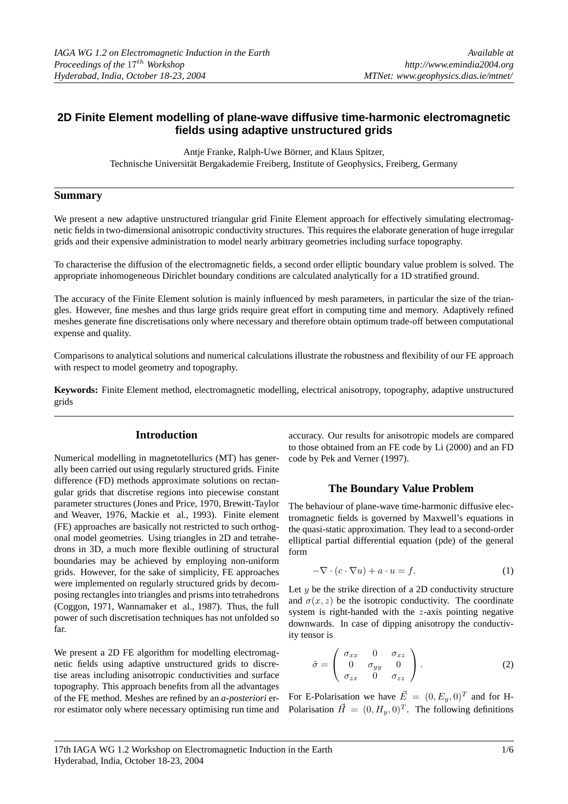# **2D Finite Element modelling of plane-wave diffusive time-harmonic electromagnetic fields using adaptive unstructured grids**

Antje Franke, Ralph-Uwe Börner, and Klaus Spitzer, Technische Universität Bergakademie Freiberg, Institute of Geophysics, Freiberg, Germany

# **Summary**

We present a new adaptive unstructured triangular grid Finite Element approach for effectively simulating electromagnetic fields in two-dimensional anisotropic conductivity structures. This requires the elaborate generation of huge irregular grids and their expensive administration to model nearly arbitrary geometries including surface topography.

To characterise the diffusion of the electromagnetic fields, a second order elliptic boundary value problem is solved. The appropriate inhomogeneous Dirichlet boundary conditions are calculated analytically for a 1D stratified ground.

The accuracy of the Finite Element solution is mainly influenced by mesh parameters, in particular the size of the triangles. However, fine meshes and thus large grids require great effort in computing time and memory. Adaptively refined meshes generate fine discretisations only where necessary and therefore obtain optimum trade-off between computational expense and quality.

Comparisons to analytical solutions and numerical calculations illustrate the robustness and flexibility of our FE approach with respect to model geometry and topography.

**Keywords:** Finite Element method, electromagnetic modelling, electrical anisotropy, topography, adaptive unstructured grids

# **Introduction**

Numerical modelling in magnetotellurics (MT) has generally been carried out using regularly structured grids. Finite difference (FD) methods approximate solutions on rectangular grids that discretise regions into piecewise constant parameter structures (Jones and Price, 1970, Brewitt-Taylor and Weaver, 1976, Mackie et al., 1993). Finite element (FE) approaches are basically not restricted to such orthogonal model geometries. Using triangles in 2D and tetrahedrons in 3D, a much more flexible outlining of structural boundaries may be achieved by employing non-uniform grids. However, for the sake of simplicity, FE approaches were implemented on regularly structured grids by decomposing rectangles into triangles and prisms into tetrahedrons (Coggon, 1971, Wannamaker et al., 1987). Thus, the full power of such discretisation techniques has not unfolded so far.

We present a 2D FE algorithm for modelling electromagnetic fields using adaptive unstructured grids to discretise areas including anisotropic conductivities and surface topography. This approach benefits from all the advantages of the FE method. Meshes are refined by an *a-posteriori* error estimator only where necessary optimising run time and accuracy. Our results for anisotropic models are compared to those obtained from an FE code by Li (2000) and an FD code by Pek and Verner (1997).

# **The Boundary Value Problem**

The behaviour of plane-wave time-harmonic diffusive electromagnetic fields is governed by Maxwell's equations in the quasi-static approximation. They lead to a second-order elliptical partial differential equation (pde) of the general form

<span id="page-0-0"></span>
$$
-\nabla \cdot (c \cdot \nabla u) + a \cdot u = f. \tag{1}
$$

Let  $y$  be the strike direction of a 2D conductivity structure and  $\sigma(x, z)$  be the isotropic conductivity. The coordinate system is right-handed with the z-axis pointing negative downwards. In case of dipping anisotropy the conductivity tensor is

$$
\tilde{\sigma} = \begin{pmatrix} \sigma_{xx} & 0 & \sigma_{xz} \\ 0 & \sigma_{yy} & 0 \\ \sigma_{zx} & 0 & \sigma_{zz} \end{pmatrix} . \tag{2}
$$

For E-Polarisation we have  $\vec{E} = (0, E_y, 0)^T$  and for H-Polarisation  $\vec{H} = (0, H_y, 0)^T$ . The following definitions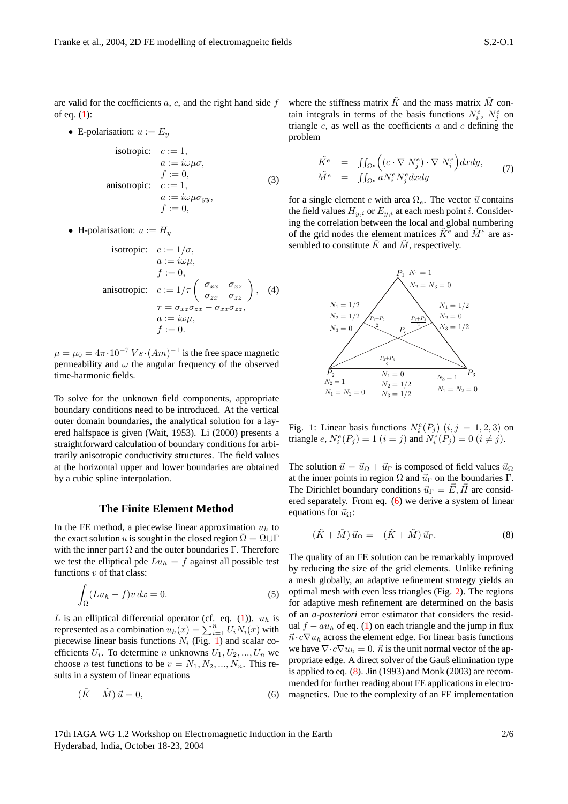are valid for the coefficients  $a, c$ , and the right hand side  $f$ of eq. [\(1\)](#page-0-0):

• E-polarisation:  $u := E_y$ 

isotropic: 
$$
c := 1
$$
,  
\n $a := i\omega\mu\sigma$ ,  
\n $f := 0$ ,  
\nansotropic:  $c := 1$ ,  
\n $a := i\omega\mu\sigma_{yy}$ ,  
\n $f := 0$ , (3)

• H-polarisation:  $u := H_u$ 

isotropic: 
$$
c := 1/\sigma
$$
,  
\n $a := i\omega\mu$ ,  
\n $f := 0$ ,  
\nansotropic:  $c := 1/\tau \begin{pmatrix} \sigma_{xx} & \sigma_{xz} \\ \sigma_{zx} & \sigma_{zz} \end{pmatrix}$ , (4)  
\n $\tau = \sigma_{xz}\sigma_{zx} - \sigma_{xx}\sigma_{zz}$ ,  
\n $a := i\omega\mu$ ,  
\n $f := 0$ .

 $\mu = \mu_0 = 4\pi \cdot 10^{-7} V \cdot (Am)^{-1}$  is the free space magnetic permeability and  $\omega$  the angular frequency of the observed time-harmonic fields.

To solve for the unknown field components, appropriate boundary conditions need to be introduced. At the vertical outer domain boundaries, the analytical solution for a layered halfspace is given (Wait, 1953). Li (2000) presents a straightforward calculation of boundary conditions for arbitrarily anisotropic conductivity structures. The field values at the horizontal upper and lower boundaries are obtained by a cubic spline interpolation.

#### **The Finite Element Method**

In the FE method, a piecewise linear approximation  $u<sub>h</sub>$  to the exact solution u is sought in the closed region  $\overline{\Omega} = \Omega \cup \Gamma$ with the inner part  $\Omega$  and the outer boundaries Γ. Therefore we test the elliptical pde  $Lu_h = f$  against all possible test functions  $v$  of that class:

$$
\int_{\Omega} (Lu_h - f)v \, dx = 0. \tag{5}
$$

L is an elliptical differential operator (cf. eq. [\(1\)](#page-0-0)).  $u_h$  is represented as a combination  $u_h(x) = \sum_{i=1}^n U_i N_i(x)$  with piecewise linear basis functions  $N_i$  (Fig. [1\)](#page-1-0) and scalar coefficients  $U_i$ . To determine n unknowns  $U_1, U_2, ..., U_n$  we choose *n* test functions to be  $v = N_1, N_2, ..., N_n$ . This results in a system of linear equations

<span id="page-1-1"></span>
$$
(\tilde{K} + \tilde{M}) \,\vec{u} = 0,\tag{6}
$$

where the stiffness matrix  $\tilde{K}$  and the mass matrix  $\tilde{M}$  contain integrals in terms of the basis functions  $N_i^e$ ,  $N_j^e$  on triangle  $e$ , as well as the coefficients  $a$  and  $c$  defining the problem

$$
\tilde{K}^{e} = \iint_{\Omega^{e}} \left( (c \cdot \nabla N^{e}_{j}) \cdot \nabla N^{e}_{i} \right) dxdy, \n\tilde{M}^{e} = \iint_{\Omega^{e}} aN^{e}_{i} N^{e}_{j} dxdy
$$
\n(7)

for a single element e with area  $\Omega_e$ . The vector  $\vec{u}$  contains the field values  $H_{y,i}$  or  $E_{y,i}$  at each mesh point *i*. Considering the correlation between the local and global numbering of the grid nodes the element matrices  $\tilde{K}^e$  and  $\tilde{M}^e$  are assembled to constitute  $\tilde{K}$  and  $\tilde{M}$ , respectively.



<span id="page-1-0"></span>Fig. 1: Linear basis functions  $N_i^e(P_j)$   $(i, j = 1, 2, 3)$  on triangle  $e, N_i^e(P_j) = 1$   $(i = j)$  and  $N_i^e(P_j) = 0$   $(i \neq j)$ .

The solution  $\vec{u} = \vec{u}_{\Omega} + \vec{u}_{\Gamma}$  is composed of field values  $\vec{u}_{\Omega}$ at the inner points in region  $\Omega$  and  $\vec{u}_\Gamma$  on the boundaries  $\Gamma$ . The Dirichlet boundary conditions  $\vec{u}_{\Gamma} = \vec{E}, \vec{H}$  are considered separately. From eq. [\(6\)](#page-1-1) we derive a system of linear equations for  $\vec{u}_{\Omega}$ :

<span id="page-1-2"></span>
$$
(\tilde{K} + \tilde{M}) \,\vec{u}_{\Omega} = -(\tilde{K} + \tilde{M}) \,\vec{u}_{\Gamma}.\tag{8}
$$

The quality of an FE solution can be remarkably improved by reducing the size of the grid elements. Unlike refining a mesh globally, an adaptive refinement strategy yields an optimal mesh with even less triangles (Fig. [2\)](#page-2-0). The regions for adaptive mesh refinement are determined on the basis of an *a-posteriori* error estimator that considers the residual  $f - a u_h$  of eq. [\(1\)](#page-0-0) on each triangle and the jump in flux  $\vec{n} \cdot c \nabla u_h$  across the element edge. For linear basis functions we have  $\nabla \cdot c \nabla u_h = 0$ .  $\vec{n}$  is the unit normal vector of the appropriate edge. A direct solver of the Gauß elimination type is applied to eq. [\(8\)](#page-1-2). Jin (1993) and Monk (2003) are recommended for further reading about FE applications in electromagnetics. Due to the complexity of an FE implementation

<sup>17</sup>th IAGA WG 1.2 Workshop on Electromagnetic Induction in the Earth Hyderabad, India, October 18-23, 2004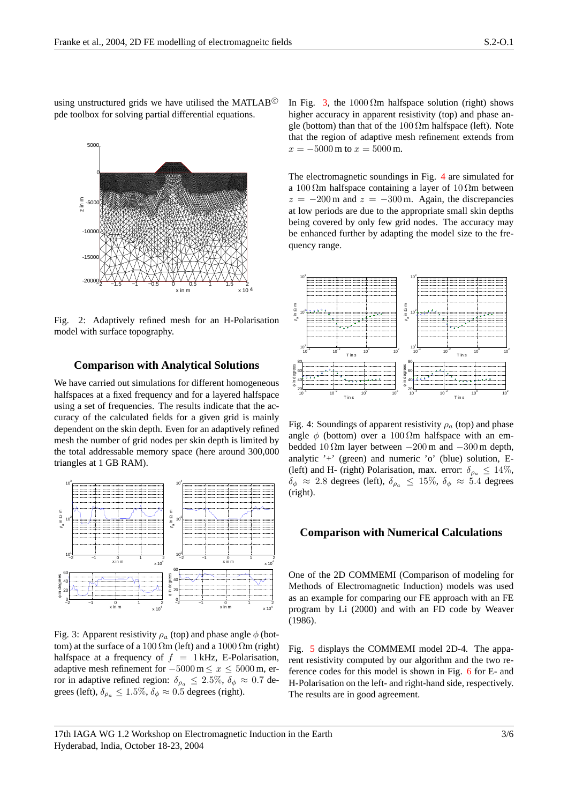using unstructured grids we have utilised the MATLAB<sup>©</sup> pde toolbox for solving partial differential equations.



Fig. 2: Adaptively refined mesh for an H-Polarisation model with surface topography.

# **Comparison with Analytical Solutions**

We have carried out simulations for different homogeneous halfspaces at a fixed frequency and for a layered halfspace using a set of frequencies. The results indicate that the accuracy of the calculated fields for a given grid is mainly dependent on the skin depth. Even for an adaptively refined mesh the number of grid nodes per skin depth is limited by the total addressable memory space (here around 300,000 triangles at 1 GB RAM).



Fig. 3: Apparent resistivity  $\rho_a$  (top) and phase angle  $\phi$  (bottom) at the surface of a 100  $\Omega$ m (left) and a 1000  $\Omega$ m (right) halfspace at a frequency of  $f = 1$  kHz, E-Polarisation, adaptive mesh refinement for  $-5000 \text{ m} \le x \le 5000 \text{ m}$ , error in adaptive refined region:  $\delta_{\rho_a} \leq 2.5\%$ ,  $\delta_{\phi} \approx 0.7$  degrees (left),  $\delta_{\rho_a} \leq 1.5\%$ ,  $\delta_{\phi} \approx 0.5$  degrees (right).

In Fig. [3,](#page-2-1) the  $1000 \Omega m$  halfspace solution (right) shows higher accuracy in apparent resistivity (top) and phase angle (bottom) than that of the  $100 \Omega$ m halfspace (left). Note that the region of adaptive mesh refinement extends from  $x = -5000$  m to  $x = 5000$  m.

The electromagnetic soundings in Fig. [4](#page-2-2) are simulated for a 100  $\Omega$ m halfspace containing a layer of 10  $\Omega$ m between  $z = -200$  m and  $z = -300$  m. Again, the discrepancies at low periods are due to the appropriate small skin depths being covered by only few grid nodes. The accuracy may be enhanced further by adapting the model size to the frequency range.

<span id="page-2-0"></span>

<span id="page-2-2"></span>Fig. 4: Soundings of apparent resistivity  $\rho_a$  (top) and phase angle  $\phi$  (bottom) over a 100 Ωm halfspace with an embedded 10  $\Omega$ m layer between  $-200$  m and  $-300$  m depth, analytic '+' (green) and numeric 'o' (blue) solution, E- (left) and H- (right) Polarisation, max. error:  $\delta_{\rho_a} \leq 14\%,$  $\delta_{\phi} \approx 2.8$  degrees (left),  $\delta_{\rho_a} \leq 15\%$ ,  $\delta_{\phi} \approx 5.4$  degrees (right).

#### **Comparison with Numerical Calculations**

<span id="page-2-1"></span>One of the 2D COMMEMI (Comparison of modeling for Methods of Electromagnetic Induction) models was used as an example for comparing our FE approach with an FE program by Li (2000) and with an FD code by Weaver (1986).

Fig. [5](#page-3-0) displays the COMMEMI model 2D-4. The apparent resistivity computed by our algorithm and the two reference codes for this model is shown in Fig. [6](#page-3-1) for E- and H-Polarisation on the left- and right-hand side, respectively. The results are in good agreement.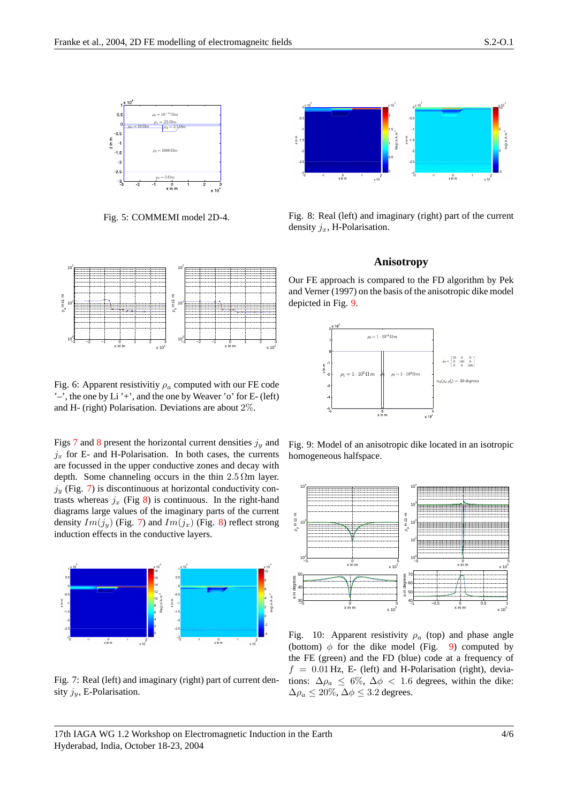

Fig. 5: COMMEMI model 2D-4.



<span id="page-3-0"></span>Fig. 8: Real (left) and imaginary (right) part of the current density  $j_x$ , H-Polarisation.

### <span id="page-3-4"></span><span id="page-3-3"></span>**Anisotropy**



<span id="page-3-1"></span>Fig. 6: Apparent resistivitiy  $\rho_a$  computed with our FE code ' $-$ ', the one by Li ' $+$ ', and the one by Weaver 'o' for E- (left) and H- (right) Polarisation. Deviations are about 2%.

Figs [7](#page-3-2) and [8](#page-3-3) present the horizontal current densities  $j_y$  and  $j_x$  for E- and H-Polarisation. In both cases, the currents are focussed in the upper conductive zones and decay with depth. Some channeling occurs in the thin  $2.5 \Omega m$  layer.  $j_y$  (Fig. [7\)](#page-3-2) is discontinuous at horizontal conductivity contrasts whereas  $j_x$  (Fig [8\)](#page-3-3) is continuous. In the right-hand diagrams large values of the imaginary parts of the current density  $Im(j_u)$  (Fig. [7\)](#page-3-2) and  $Im(j_x)$  (Fig. [8\)](#page-3-3) reflect strong induction effects in the conductive layers.



<span id="page-3-2"></span>Fig. 7: Real (left) and imaginary (right) part of current density  $j_y$ , E-Polarisation.

Our FE approach is compared to the FD algorithm by Pek and Verner (1997) on the basis of the anisotropic dike model depicted in Fig. [9.](#page-3-4)



Fig. 9: Model of an anisotropic dike located in an isotropic homogeneous halfspace.



<span id="page-3-5"></span>Fig. 10: Apparent resistivity  $\rho_a$  (top) and phase angle (bottom)  $\phi$  for the dike model (Fig. [9\)](#page-3-4) computed by the FE (green) and the FD (blue) code at a frequency of  $f = 0.01$  Hz, E- (left) and H-Polarisation (right), deviations:  $\Delta \rho_a \leq 6\%, \Delta \phi < 1.6$  degrees, within the dike:  $\Delta \rho_a \leq 20\%, \Delta \phi \leq 3.2$  degrees.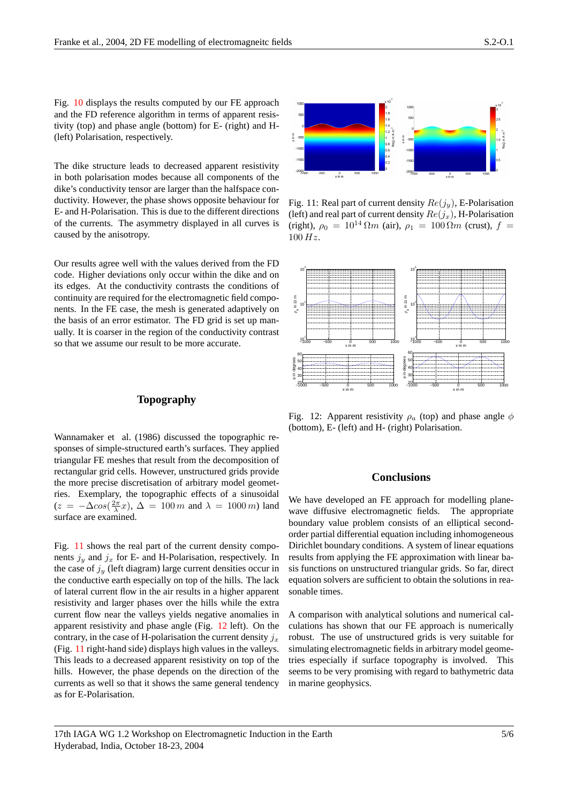Fig. [10](#page-3-5) displays the results computed by our FE approach and the FD reference algorithm in terms of apparent resistivity (top) and phase angle (bottom) for E- (right) and H- (left) Polarisation, respectively.

The dike structure leads to decreased apparent resistivity in both polarisation modes because all components of the dike's conductivity tensor are larger than the halfspace conductivity. However, the phase shows opposite behaviour for E- and H-Polarisation. This is due to the different directions of the currents. The asymmetry displayed in all curves is caused by the anisotropy.

Our results agree well with the values derived from the FD code. Higher deviations only occur within the dike and on its edges. At the conductivity contrasts the conditions of continuity are required for the electromagnetic field components. In the FE case, the mesh is generated adaptively on the basis of an error estimator. The FD grid is set up manually. It is coarser in the region of the conductivity contrast so that we assume our result to be more accurate.

## **Topography**

Wannamaker et al. (1986) discussed the topographic responses of simple-structured earth's surfaces. They applied triangular FE meshes that result from the decomposition of rectangular grid cells. However, unstructured grids provide the more precise discretisation of arbitrary model geometries. Exemplary, the topographic effects of a sinusoidal  $(z = -\Delta cos(\frac{2\pi}{\lambda}x), \Delta = 100 \, m$  and  $\lambda = 1000 \, m$ ) land surface are examined.

Fig. [11](#page-4-0) shows the real part of the current density components  $j_y$  and  $j_x$  for E- and H-Polarisation, respectively. In the case of  $j_y$  (left diagram) large current densities occur in the conductive earth especially on top of the hills. The lack of lateral current flow in the air results in a higher apparent resistivity and larger phases over the hills while the extra current flow near the valleys yields negative anomalies in apparent resistivity and phase angle (Fig. [12](#page-4-1) left). On the contrary, in the case of H-polarisation the current density  $j_x$ (Fig. [11](#page-4-0) right-hand side) displays high values in the valleys. This leads to a decreased apparent resistivity on top of the hills. However, the phase depends on the direction of the currents as well so that it shows the same general tendency as for E-Polarisation.



<span id="page-4-0"></span>Fig. 11: Real part of current density  $Re(j_y)$ , E-Polarisation (left) and real part of current density  $Re(j_x)$ , H-Polarisation (right),  $\rho_0 = 10^{14} \Omega m$  (air),  $\rho_1 = 100 \Omega m$  (crust),  $f =$  $100 Hz$ .



Fig. 12: Apparent resistivity  $\rho_a$  (top) and phase angle  $\phi$ (bottom), E- (left) and H- (right) Polarisation.

# <span id="page-4-1"></span>**Conclusions**

We have developed an FE approach for modelling planewave diffusive electromagnetic fields. The appropriate boundary value problem consists of an elliptical secondorder partial differential equation including inhomogeneous Dirichlet boundary conditions. A system of linear equations results from applying the FE approximation with linear basis functions on unstructured triangular grids. So far, direct equation solvers are sufficient to obtain the solutions in reasonable times.

A comparison with analytical solutions and numerical calculations has shown that our FE approach is numerically robust. The use of unstructured grids is very suitable for simulating electromagnetic fields in arbitrary model geometries especially if surface topography is involved. This seems to be very promising with regard to bathymetric data in marine geophysics.